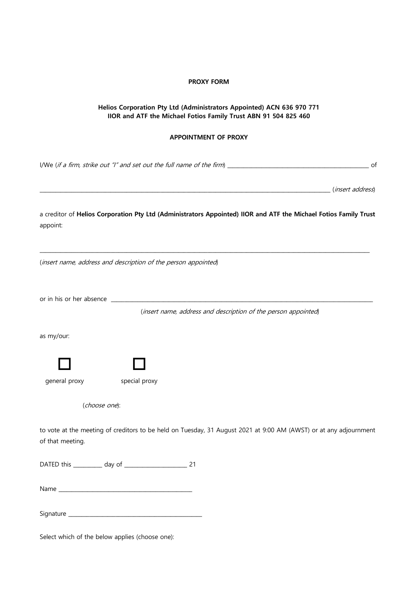## **PROXY FORM**

## **Helios Corporation Pty Ltd (Administrators Appointed) ACN 636 970 771 IIOR and ATF the Michael Fotios Family Trust ABN 91 504 825 460**

## **APPOINTMENT OF PROXY**

I/We (if a firm, strike out "I" and set out the full name of the firm) \_\_\_\_\_\_\_\_\_\_\_\_\_\_\_\_\_\_\_\_\_\_\_\_\_\_\_\_\_\_\_\_\_\_\_\_\_\_\_\_\_\_\_\_\_\_\_\_\_\_\_\_\_\_ of \_\_\_\_\_\_\_\_\_\_\_\_\_\_\_\_\_\_\_\_\_\_\_\_\_\_\_\_\_\_\_\_\_\_\_\_\_\_\_\_\_\_\_\_\_\_\_\_\_\_\_\_\_\_\_\_\_\_\_\_\_\_\_\_\_\_\_\_\_\_\_\_\_\_\_\_\_\_\_\_\_\_\_\_\_\_\_\_\_\_\_\_\_\_\_\_\_\_\_\_\_\_\_\_\_\_\_\_\_\_\_ (insert address) a creditor of **Helios Corporation Pty Ltd (Administrators Appointed) IIOR and ATF the Michael Fotios Family Trust** appoint: \_\_\_\_\_\_\_\_\_\_\_\_\_\_\_\_\_\_\_\_\_\_\_\_\_\_\_\_\_\_\_\_\_\_\_\_\_\_\_\_\_\_\_\_\_\_\_\_\_\_\_\_\_\_\_\_\_\_\_\_\_\_\_\_\_\_\_\_\_\_\_\_\_\_\_\_\_\_\_\_\_\_\_\_\_\_\_\_\_\_\_\_\_\_\_\_\_\_\_\_\_\_\_\_\_\_\_\_\_\_\_\_\_\_\_\_\_\_\_\_\_\_\_\_\_\_ (insert name, address and description of the person appointed) or in his or her absence \_\_ (insert name, address and description of the person appointed) as my/our:  $\begin{array}{ccc} \square & \quad & \square \end{array}$ general proxy special proxy (choose one): to vote at the meeting of creditors to be held on Tuesday, 31 August 2021 at 9:00 AM (AWST) or at any adjournment of that meeting. DATED this \_\_\_\_\_\_\_\_\_\_\_ day of \_\_\_\_\_\_\_\_\_\_\_\_\_\_\_\_\_\_\_\_\_\_\_\_ 21 Name \_\_\_\_\_\_\_\_\_\_\_\_\_\_\_\_\_\_\_\_\_\_\_\_\_\_\_\_\_\_\_\_\_\_\_\_\_\_\_\_\_\_\_\_\_\_\_\_\_\_\_ Signature \_\_\_\_\_\_\_\_\_\_\_\_\_\_\_\_\_\_\_\_\_\_\_\_\_\_\_\_\_\_\_\_\_\_\_\_\_\_\_\_\_\_\_\_\_\_\_\_\_\_\_

Select which of the below applies (choose one):